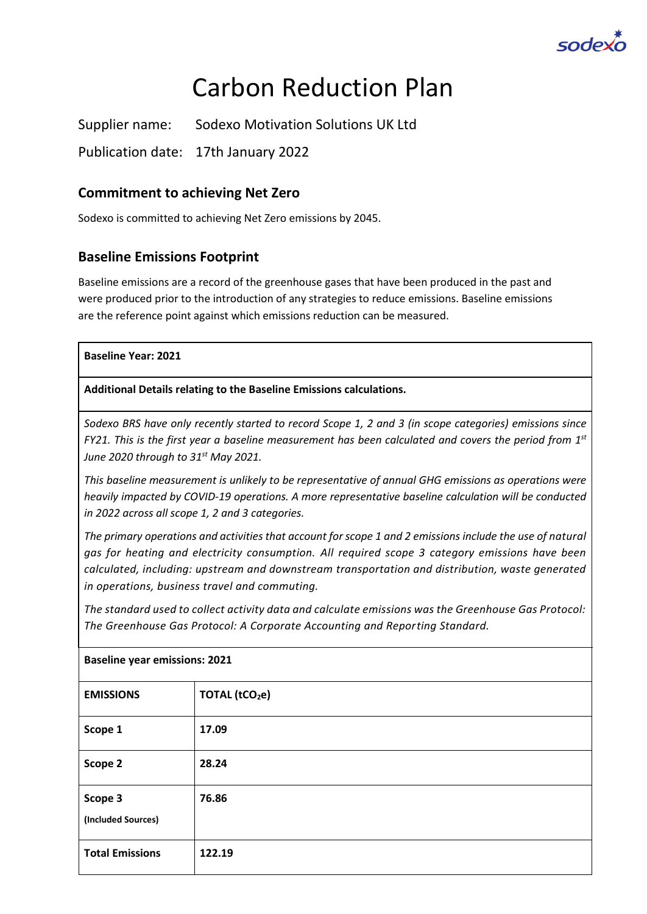

# Carbon Reduction Plan

Supplier name: Sodexo Motivation Solutions UK Ltd

Publication date: 17th January 2022

### **Commitment to achieving Net Zero**

Sodexo is committed to achieving Net Zero emissions by 2045.

#### **Baseline Emissions Footprint**

Baseline emissions are a record of the greenhouse gases that have been produced in the past and were produced prior to the introduction of any strategies to reduce emissions. Baseline emissions are the reference point against which emissions reduction can be measured.

#### **Baseline Year: 2021**

**Additional Details relating to the Baseline Emissions calculations.** 

*Sodexo BRS have only recently started to record Scope 1, 2 and 3 (in scope categories) emissions since FY21. This is the first year a baseline measurement has been calculated and covers the period from 1st June 2020 through to 31st May 2021.*

*This baseline measurement is unlikely to be representative of annual GHG emissions as operations were heavily impacted by COVID-19 operations. A more representative baseline calculation will be conducted in 2022 across all scope 1, 2 and 3 categories.* 

*The primary operations and activities that account for scope 1 and 2 emissions include the use of natural gas for heating and electricity consumption. All required scope 3 category emissions have been calculated, including: upstream and downstream transportation and distribution, waste generated in operations, business travel and commuting.*

*The standard used to collect activity data and calculate emissions was the Greenhouse Gas Protocol: The Greenhouse Gas Protocol: A Corporate Accounting and Reporting Standard.*

| <b>Baseline year emissions: 2021</b> |                      |  |
|--------------------------------------|----------------------|--|
| <b>EMISSIONS</b>                     | <b>TOTAL (tCO2e)</b> |  |
| Scope 1                              | 17.09                |  |
| Scope 2                              | 28.24                |  |
| Scope 3<br>(Included Sources)        | 76.86                |  |
| <b>Total Emissions</b>               | 122.19               |  |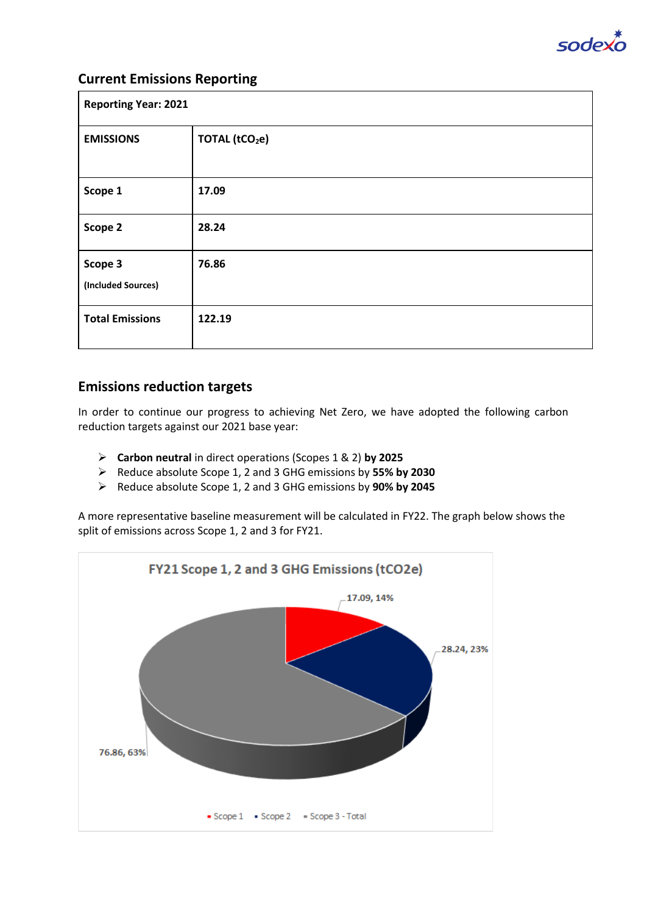

#### **Current Emissions Reporting**

| <b>Reporting Year: 2021</b>   |                            |  |
|-------------------------------|----------------------------|--|
| <b>EMISSIONS</b>              | TOTAL (tCO <sub>2</sub> e) |  |
| Scope 1                       | 17.09                      |  |
| Scope 2                       | 28.24                      |  |
| Scope 3<br>(Included Sources) | 76.86                      |  |
| <b>Total Emissions</b>        | 122.19                     |  |

#### **Emissions reduction targets**

In order to continue our progress to achieving Net Zero, we have adopted the following carbon reduction targets against our 2021 base year:

- ➢ **Carbon neutral** in direct operations (Scopes 1 & 2) **by 2025**
- ➢ Reduce absolute Scope 1, 2 and 3 GHG emissions by **55% by 2030**
- ➢ Reduce absolute Scope 1, 2 and 3 GHG emissions by **90% by 2045**

A more representative baseline measurement will be calculated in FY22. The graph below shows the split of emissions across Scope 1, 2 and 3 for FY21.

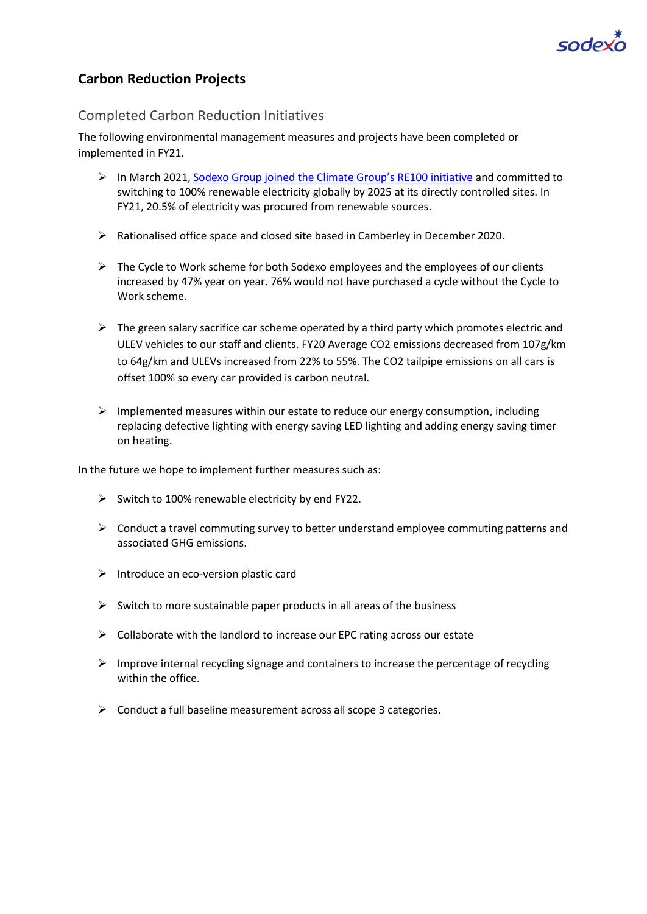

### **Carbon Reduction Projects**

#### Completed Carbon Reduction Initiatives

The following environmental management measures and projects have been completed or implemented in FY21.

- ➢ In March 2021, Sodexo Group joined the Cli[mate Group's RE100 initiative](https://www.sodexo.com/media/sodexo-joins-re100.html) and committed to switching to 100% renewable electricity globally by 2025 at its directly controlled sites. In FY21, 20.5% of electricity was procured from renewable sources.
- ➢ Rationalised office space and closed site based in Camberley in December 2020.
- $\triangleright$  The Cycle to Work scheme for both Sodexo employees and the employees of our clients increased by 47% year on year. 76% would not have purchased a cycle without the Cycle to Work scheme.
- $\triangleright$  The green salary sacrifice car scheme operated by a third party which promotes electric and ULEV vehicles to our staff and clients. FY20 Average CO2 emissions decreased from 107g/km to 64g/km and ULEVs increased from 22% to 55%. The CO2 tailpipe emissions on all cars is offset 100% so every car provided is carbon neutral.
- $\triangleright$  Implemented measures within our estate to reduce our energy consumption, including replacing defective lighting with energy saving LED lighting and adding energy saving timer on heating.

In the future we hope to implement further measures such as:

- $\triangleright$  Switch to 100% renewable electricity by end FY22.
- ➢ Conduct a travel commuting survey to better understand employee commuting patterns and associated GHG emissions.
- ➢ Introduce an eco-version plastic card
- $\triangleright$  Switch to more sustainable paper products in all areas of the business
- $\triangleright$  Collaborate with the landlord to increase our EPC rating across our estate
- $\triangleright$  Improve internal recycling signage and containers to increase the percentage of recycling within the office.
- $\triangleright$  Conduct a full baseline measurement across all scope 3 categories.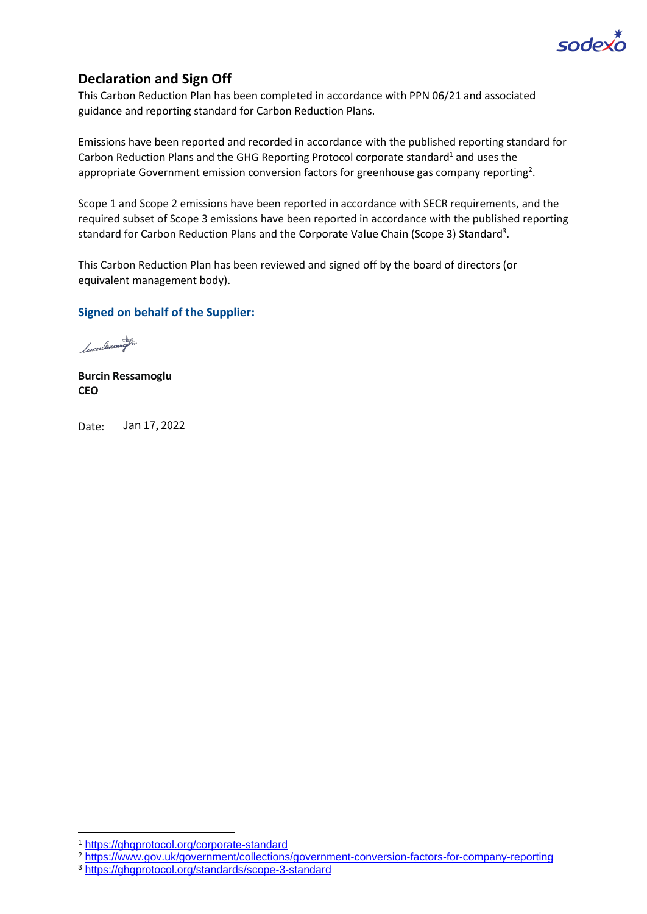

### **Declaration and Sign Off**

This Carbon Reduction Plan has been completed in accordance with PPN 06/21 and associated guidance and reporting standard for Carbon Reduction Plans.

Emissions have been reported and recorded in accordance with the published reporting standard for Carbon Reduction Plans and the GHG Reporting Protocol corporate standard<sup>1</sup> and uses the appropriat[e Government emission conversion factors for greenhouse gas company reporting](https://www.gov.uk/government/collections/government-conversion-factors-for-company-reporting)<sup>2</sup>.

Scope 1 and Scope 2 emissions have been reported in accordance with SECR requirements, and the required subset of Scope 3 emissions have been reported in accordance with the published reporting standard for Carbon Reduction Plans and the Corporate Value Chain (Scope 3) Standard<sup>3</sup>.

This Carbon Reduction Plan has been reviewed and signed off by the board of directors (or equivalent management body).

#### **Signed on behalf of the Supplier:**

Cucculenaugho

**Burcin Ressamoglu CEO**

Date: Jan 17, 2022

<sup>2</sup> <https://www.gov.uk/government/collections/government-conversion-factors-for-company-reporting>

<sup>1</sup> <https://ghgprotocol.org/corporate-standard>

<sup>3</sup> <https://ghgprotocol.org/standards/scope-3-standard>